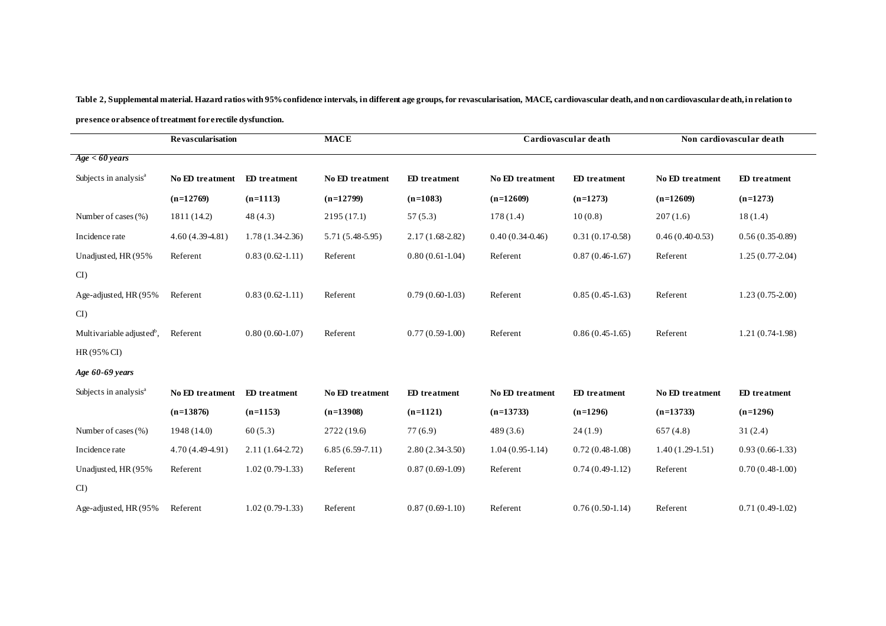**Table 2, Supplemental material. Hazard ratios with 95% confidence intervals, in different age groups, for revascularisation, MACE, cardiovascular death, and non cardiovascular death, in relation to presence or absence oftreatment for erectile dysfunction.**

|                                       | <b>Revascularisation</b> |                     | <b>MACE</b>            |                   | Cardiovascular death |                     | Non cardiovascular death |                   |
|---------------------------------------|--------------------------|---------------------|------------------------|-------------------|----------------------|---------------------|--------------------------|-------------------|
| Age < 60 years                        |                          |                     |                        |                   |                      |                     |                          |                   |
| Subjects in analysis <sup>a</sup>     | No ED treatment          | <b>ED</b> treatment | No ED treatment        | ED treatment      | No ED treatment      | <b>ED</b> treatment | No ED treatment          | ED treatment      |
|                                       | $(n=12769)$              | $(n=1113)$          | $(n=12799)$            | $(n=1083)$        | $(n=12609)$          | $(n=1273)$          | $(n=12609)$              | $(n=1273)$        |
| Number of cases (%)                   | 1811 (14.2)              | 48(4.3)             | 2195 (17.1)            | 57(5.3)           | 178(1.4)             | 10(0.8)             | 207(1.6)                 | 18(1.4)           |
| Incidence rate                        | $4.60(4.39-4.81)$        | $1.78(1.34-2.36)$   | 5.71 (5.48-5.95)       | $2.17(1.68-2.82)$ | $0.40(0.34-0.46)$    | $0.31(0.17-0.58)$   | $0.46(0.40-0.53)$        | $0.56(0.35-0.89)$ |
| Unadjusted, HR (95%                   | Referent                 | $0.83(0.62-1.11)$   | Referent               | $0.80(0.61-1.04)$ | Referent             | $0.87(0.46-1.67)$   | Referent                 | $1.25(0.77-2.04)$ |
| CI                                    |                          |                     |                        |                   |                      |                     |                          |                   |
| Age-adjusted, HR (95%)                | Referent                 | $0.83(0.62-1.11)$   | Referent               | $0.79(0.60-1.03)$ | Referent             | $0.85(0.45-1.63)$   | Referent                 | $1.23(0.75-2.00)$ |
| CI                                    |                          |                     |                        |                   |                      |                     |                          |                   |
| Multivariable adjusted <sup>b</sup> , | Referent                 | $0.80(0.60-1.07)$   | Referent               | $0.77(0.59-1.00)$ | Referent             | $0.86(0.45-1.65)$   | Referent                 | $1.21(0.74-1.98)$ |
| HR(95% CI)                            |                          |                     |                        |                   |                      |                     |                          |                   |
| Age 60-69 years                       |                          |                     |                        |                   |                      |                     |                          |                   |
| Subjects in analysis <sup>a</sup>     | No ED treatment          | ED treatment        | <b>No ED</b> treatment | ED treatment      | No ED treatment      | ED treatment        | No ED treatment          | ED treatment      |
|                                       | $(n=13876)$              | $(n=1153)$          | $(n=13908)$            | $(n=1121)$        | $(n=13733)$          | $(n=1296)$          | $(n=13733)$              | $(n=1296)$        |
| Number of cases $(\% )$               | 1948 (14.0)              | 60(5.3)             | 2722 (19.6)            | 77(6.9)           | 489(3.6)             | 24(1.9)             | 657(4.8)                 | 31(2.4)           |
| Incidence rate                        | 4.70 (4.49-4.91)         | $2.11(1.64-2.72)$   | $6.85(6.59-7.11)$      | $2.80(2.34-3.50)$ | $1.04(0.95-1.14)$    | $0.72(0.48-1.08)$   | $1.40(1.29-1.51)$        | $0.93(0.66-1.33)$ |
| Unadjusted, HR (95%                   | Referent                 | $1.02(0.79-1.33)$   | Referent               | $0.87(0.69-1.09)$ | Referent             | $0.74(0.49-1.12)$   | Referent                 | $0.70(0.48-1.00)$ |
| CI)                                   |                          |                     |                        |                   |                      |                     |                          |                   |
| Age-adjusted, HR (95%)                | Referent                 | $1.02(0.79-1.33)$   | Referent               | $0.87(0.69-1.10)$ | Referent             | $0.76(0.50-1.14)$   | Referent                 | $0.71(0.49-1.02)$ |